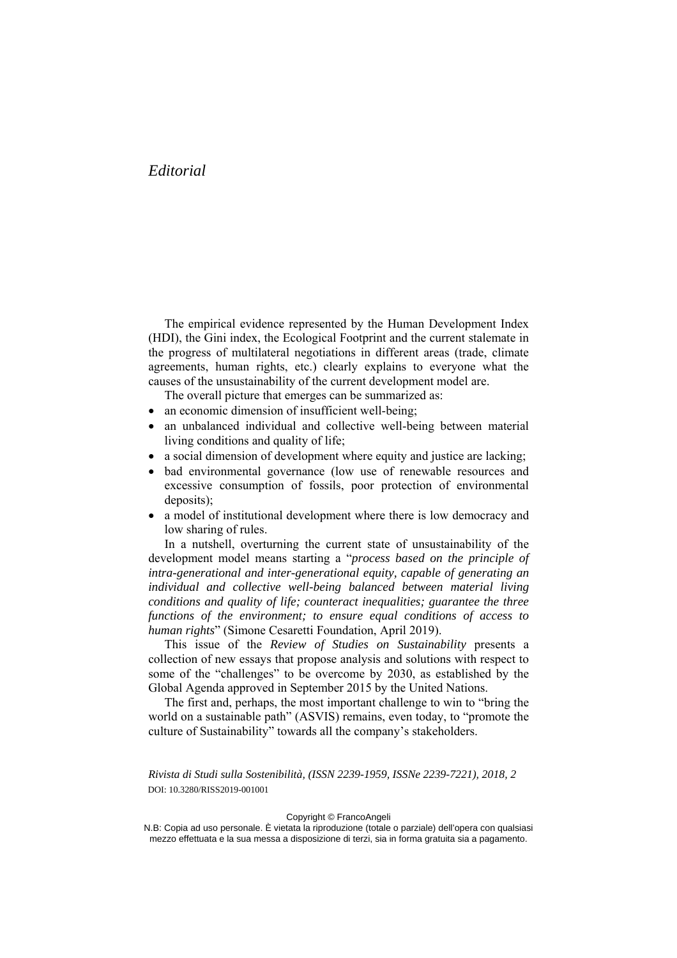## *Editorial*

The empirical evidence represented by the Human Development Index (HDI), the Gini index, the Ecological Footprint and the current stalemate in the progress of multilateral negotiations in different areas (trade, climate agreements, human rights, etc.) clearly explains to everyone what the causes of the unsustainability of the current development model are.

The overall picture that emerges can be summarized as:

- an economic dimension of insufficient well-being;
- an unbalanced individual and collective well-being between material living conditions and quality of life;
- a social dimension of development where equity and justice are lacking;
- bad environmental governance (low use of renewable resources and excessive consumption of fossils, poor protection of environmental deposits);
- a model of institutional development where there is low democracy and low sharing of rules.

In a nutshell, overturning the current state of unsustainability of the development model means starting a "*process based on the principle of intra-generational and inter-generational equity, capable of generating an individual and collective well-being balanced between material living conditions and quality of life; counteract inequalities; guarantee the three functions of the environment; to ensure equal conditions of access to human rights*" (Simone Cesaretti Foundation, April 2019).

This issue of the *Review of Studies on Sustainability* presents a collection of new essays that propose analysis and solutions with respect to some of the "challenges" to be overcome by 2030, as established by the Global Agenda approved in September 2015 by the United Nations.

The first and, perhaps, the most important challenge to win to "bring the world on a sustainable path" (ASVIS) remains, even today, to "promote the culture of Sustainability" towards all the company's stakeholders.

*Rivista di Studi sulla Sostenibilità, (ISSN 2239-1959, ISSNe 2239-7221), 2018, 2*  DOI: 10.3280/RISS2019-001001

## Copyright © FrancoAngeli

N.B: Copia ad uso personale. È vietata la riproduzione (totale o parziale) dell'opera con qualsiasi mezzo effettuata e la sua messa a disposizione di terzi, sia in forma gratuita sia a pagamento.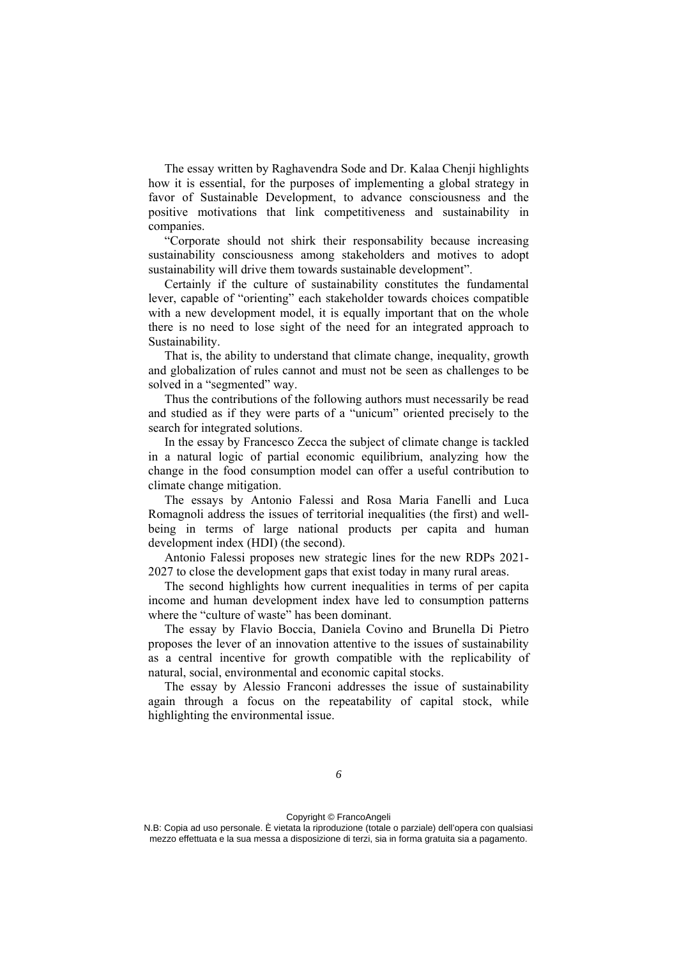The essay written by Raghavendra Sode and Dr. Kalaa Chenji highlights how it is essential, for the purposes of implementing a global strategy in favor of Sustainable Development, to advance consciousness and the positive motivations that link competitiveness and sustainability in companies.

"Corporate should not shirk their responsability because increasing sustainability consciousness among stakeholders and motives to adopt sustainability will drive them towards sustainable development".

Certainly if the culture of sustainability constitutes the fundamental lever, capable of "orienting" each stakeholder towards choices compatible with a new development model, it is equally important that on the whole there is no need to lose sight of the need for an integrated approach to Sustainability.

That is, the ability to understand that climate change, inequality, growth and globalization of rules cannot and must not be seen as challenges to be solved in a "segmented" way.

Thus the contributions of the following authors must necessarily be read and studied as if they were parts of a "unicum" oriented precisely to the search for integrated solutions.

In the essay by Francesco Zecca the subject of climate change is tackled in a natural logic of partial economic equilibrium, analyzing how the change in the food consumption model can offer a useful contribution to climate change mitigation.

The essays by Antonio Falessi and Rosa Maria Fanelli and Luca Romagnoli address the issues of territorial inequalities (the first) and wellbeing in terms of large national products per capita and human development index (HDI) (the second).

Antonio Falessi proposes new strategic lines for the new RDPs 2021- 2027 to close the development gaps that exist today in many rural areas.

The second highlights how current inequalities in terms of per capita income and human development index have led to consumption patterns where the "culture of waste" has been dominant.

The essay by Flavio Boccia, Daniela Covino and Brunella Di Pietro proposes the lever of an innovation attentive to the issues of sustainability as a central incentive for growth compatible with the replicability of natural, social, environmental and economic capital stocks.

The essay by Alessio Franconi addresses the issue of sustainability again through a focus on the repeatability of capital stock, while highlighting the environmental issue.

N.B: Copia ad uso personale. È vietata la riproduzione (totale o parziale) dell'opera con qualsiasi mezzo effettuata e la sua messa a disposizione di terzi, sia in forma gratuita sia a pagamento.